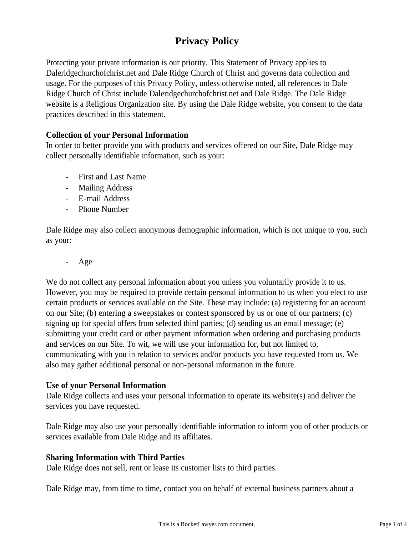# **Privacy Policy**

Protecting your private information is our priority. This Statement of Privacy applies to Daleridgechurchofchrist.net and Dale Ridge Church of Christ and governs data collection and usage. For the purposes of this Privacy Policy, unless otherwise noted, all references to Dale Ridge Church of Christ include Daleridgechurchofchrist.net and Dale Ridge. The Dale Ridge website is a Religious Organization site. By using the Dale Ridge website, you consent to the data practices described in this statement.

# **Collection of your Personal Information**

In order to better provide you with products and services offered on our Site, Dale Ridge may collect personally identifiable information, such as your:

- First and Last Name
- Mailing Address
- E-mail Address
- Phone Number

Dale Ridge may also collect anonymous demographic information, which is not unique to you, such as your:

- Age

We do not collect any personal information about you unless you voluntarily provide it to us. However, you may be required to provide certain personal information to us when you elect to use certain products or services available on the Site. These may include: (a) registering for an account on our Site; (b) entering a sweepstakes or contest sponsored by us or one of our partners; (c) signing up for special offers from selected third parties; (d) sending us an email message; (e) submitting your credit card or other payment information when ordering and purchasing products and services on our Site. To wit, we will use your information for, but not limited to, communicating with you in relation to services and/or products you have requested from us. We also may gather additional personal or non-personal information in the future.

### **Use of your Personal Information**

Dale Ridge collects and uses your personal information to operate its website(s) and deliver the services you have requested.

Dale Ridge may also use your personally identifiable information to inform you of other products or services available from Dale Ridge and its affiliates.

### **Sharing Information with Third Parties**

Dale Ridge does not sell, rent or lease its customer lists to third parties.

Dale Ridge may, from time to time, contact you on behalf of external business partners about a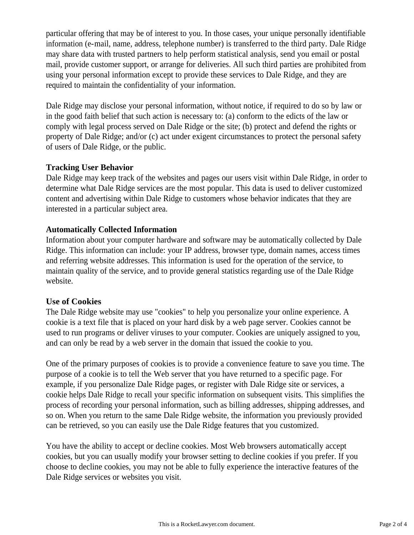particular offering that may be of interest to you. In those cases, your unique personally identifiable information (e-mail, name, address, telephone number) is transferred to the third party. Dale Ridge may share data with trusted partners to help perform statistical analysis, send you email or postal mail, provide customer support, or arrange for deliveries. All such third parties are prohibited from using your personal information except to provide these services to Dale Ridge, and they are required to maintain the confidentiality of your information.

Dale Ridge may disclose your personal information, without notice, if required to do so by law or in the good faith belief that such action is necessary to: (a) conform to the edicts of the law or comply with legal process served on Dale Ridge or the site; (b) protect and defend the rights or property of Dale Ridge; and/or (c) act under exigent circumstances to protect the personal safety of users of Dale Ridge, or the public.

### **Tracking User Behavior**

Dale Ridge may keep track of the websites and pages our users visit within Dale Ridge, in order to determine what Dale Ridge services are the most popular. This data is used to deliver customized content and advertising within Dale Ridge to customers whose behavior indicates that they are interested in a particular subject area.

### **Automatically Collected Information**

Information about your computer hardware and software may be automatically collected by Dale Ridge. This information can include: your IP address, browser type, domain names, access times and referring website addresses. This information is used for the operation of the service, to maintain quality of the service, and to provide general statistics regarding use of the Dale Ridge website.

### **Use of Cookies**

The Dale Ridge website may use "cookies" to help you personalize your online experience. A cookie is a text file that is placed on your hard disk by a web page server. Cookies cannot be used to run programs or deliver viruses to your computer. Cookies are uniquely assigned to you, and can only be read by a web server in the domain that issued the cookie to you.

One of the primary purposes of cookies is to provide a convenience feature to save you time. The purpose of a cookie is to tell the Web server that you have returned to a specific page. For example, if you personalize Dale Ridge pages, or register with Dale Ridge site or services, a cookie helps Dale Ridge to recall your specific information on subsequent visits. This simplifies the process of recording your personal information, such as billing addresses, shipping addresses, and so on. When you return to the same Dale Ridge website, the information you previously provided can be retrieved, so you can easily use the Dale Ridge features that you customized.

You have the ability to accept or decline cookies. Most Web browsers automatically accept cookies, but you can usually modify your browser setting to decline cookies if you prefer. If you choose to decline cookies, you may not be able to fully experience the interactive features of the Dale Ridge services or websites you visit.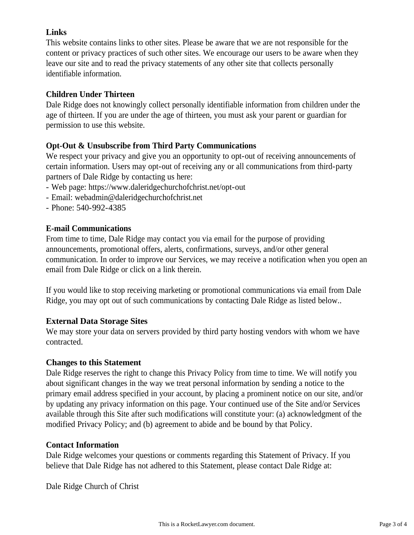# **Links**

This website contains links to other sites. Please be aware that we are not responsible for the content or privacy practices of such other sites. We encourage our users to be aware when they leave our site and to read the privacy statements of any other site that collects personally identifiable information.

# **Children Under Thirteen**

Dale Ridge does not knowingly collect personally identifiable information from children under the age of thirteen. If you are under the age of thirteen, you must ask your parent or guardian for permission to use this website.

# **Opt-Out & Unsubscribe from Third Party Communications**

We respect your privacy and give you an opportunity to opt-out of receiving announcements of certain information. Users may opt-out of receiving any or all communications from third-party partners of Dale Ridge by contacting us here:

- Web page: https://www.daleridgechurchofchrist.net/opt-out
- Email: webadmin@daleridgechurchofchrist.net
- Phone: 540-992-4385

# **E-mail Communications**

From time to time, Dale Ridge may contact you via email for the purpose of providing announcements, promotional offers, alerts, confirmations, surveys, and/or other general communication. In order to improve our Services, we may receive a notification when you open an email from Dale Ridge or click on a link therein.

If you would like to stop receiving marketing or promotional communications via email from Dale Ridge, you may opt out of such communications by contacting Dale Ridge as listed below..

# **External Data Storage Sites**

We may store your data on servers provided by third party hosting vendors with whom we have contracted.

### **Changes to this Statement**

Dale Ridge reserves the right to change this Privacy Policy from time to time. We will notify you about significant changes in the way we treat personal information by sending a notice to the primary email address specified in your account, by placing a prominent notice on our site, and/or by updating any privacy information on this page. Your continued use of the Site and/or Services available through this Site after such modifications will constitute your: (a) acknowledgment of the modified Privacy Policy; and (b) agreement to abide and be bound by that Policy.

### **Contact Information**

Dale Ridge welcomes your questions or comments regarding this Statement of Privacy. If you believe that Dale Ridge has not adhered to this Statement, please contact Dale Ridge at:

Dale Ridge Church of Christ